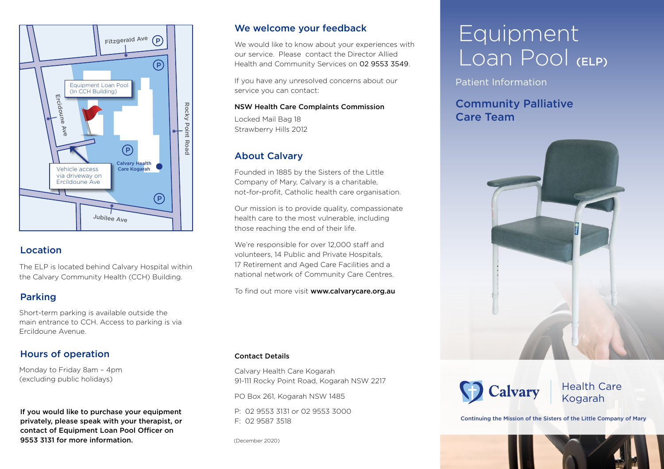

### Location

The ELP is located behind Calvary Hospital within the Calvary Community Health (CCH) Building.

### Parking

Short-term parking is available outside the main entrance to CCH. Access to parking is via Ercildoune Avenue.

### Hours of operation

Monday to Friday 8am - 4pm (excluding public holidays)

If you would like to purchase your equipment privately, please speak with your therapist, or contact of Equipment Loan Pool Officer on 9553 3131 for more information.

### We welcome your feedback

We would like to know about your experiences with our service. Please contact the Director Allied Health and Community Services on 02 9553 3549.

If you have any unresolved concerns about our service you can contact:

#### NSW Health Care Complaints Commission

Locked Mail Bag 18 Strawberry Hills 2012

## About Calvary

Founded in 1885 by the Sisters of the Little Company of Mary, Calvary is a charitable, not-for-profit, Catholic health care organisation.

Our mission is to provide quality, compassionate health care to the most vulnerable, including those reaching the end of their life.

We're responsible for over 12,000 staff and volunteers, 14 Public and Private Hospitals, 17 Retirement and Aged Care Facilities and a national network of Community Care Centres.

To find out more visit www.calvarycare.org.au

### Contact Details

Calvary Health Care Kogarah 91-111 Rocky Point Road, Kogarah NSW 2217

PO Box 261, Kogarah NSW 1485

P: 02 9553 3131 or 02 9553 3000 F: 02 9587 3518

(December 2020)

# Equipment Loan Pool (ELP)

Patient Information

## Community Palliative Care Team





Health Care Kogarah

Continuing the Mission of the Sisters of the Little Company of Mary